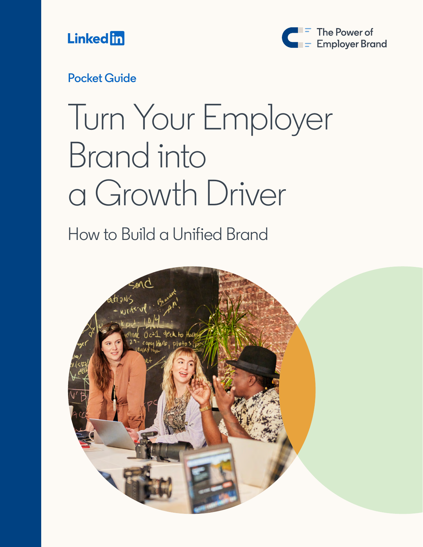



#### **Pocket Guide**

# Turn Your Employer Brand into a Growth Driver

How to Build a Unified Brand

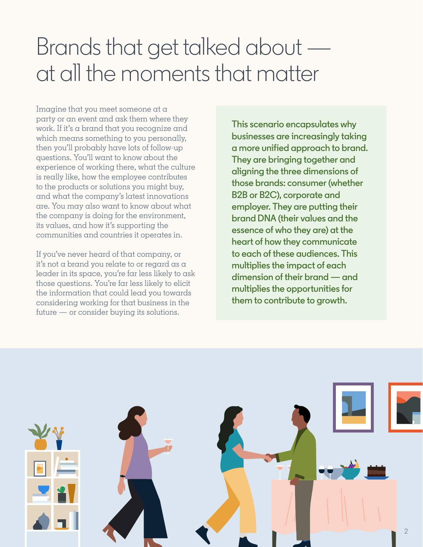### Brands that get talked about at all the moments that matter

Imagine that you meet someone at a party or an event and ask them where they work. If it's a brand that you recognize and which means something to you personally, then you'll probably have lots of follow-up questions. You'll want to know about the experience of working there, what the culture is really like, how the employee contributes to the products or solutions you might buy, and what the company's latest innovations are. You may also want to know about what the company is doing for the environment, its values, and how it's supporting the communities and countries it operates in.

If you've never heard of that company, or it's not a brand you relate to or regard as a leader in its space, you're far less likely to ask those questions. You're far less likely to elicit the information that could lead you towards considering working for that business in the future — or consider buying its solutions.

**This scenario encapsulates why businesses are increasingly taking a more unified approach to brand. They are bringing together and aligning the three dimensions of those brands: consumer (whether B2B or B2C), corporate and employer. They are putting their brand DNA (their values and the essence of who they are) at the heart of how they communicate to each of these audiences. This multiplies the impact of each dimension of their brand — and multiplies the opportunities for them to contribute to growth.**

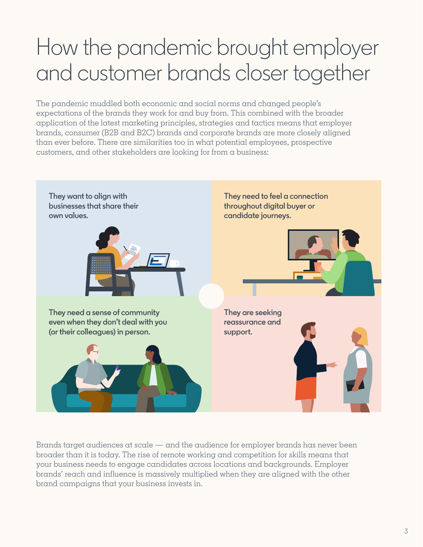### How the pandemic brought employer and customer brands closer together

The pandemic muddled both economic and social norms and changed people's expectations of the brands they work for and buy from. This combined with the broader application of the latest marketing principles, strategies and tactics means that employer brands, consumer (B2B and B2C) brands and corporate brands are more closely aligned than ever before. There are similarities too in what potential employees, prospective customers, and other stakeholders are looking for from a business:



Brands target audiences at scale — and the audience for employer brands has never been broader than it is today. The rise of remote working and competition for skills means that your business needs to engage candidates across locations and backgrounds. Employer brands' reach and influence is massively multiplied when they are aligned with the other brand campaigns that your business invests in.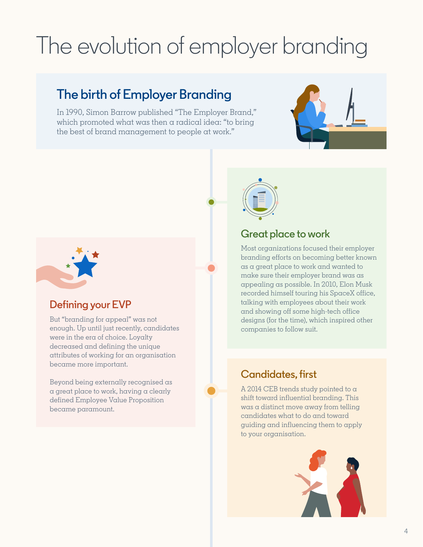## The evolution of employer branding

### **The birth of Employer Branding**

In 1990, Simon Barrow published "The Employer Brand," which promoted what was then a radical idea: "to bring the best of brand management to people at work."





### **Great place to work**

Most organizations focused their employer branding efforts on becoming better known as a great place to work and wanted to make sure their employer brand was as appealing as possible. In 2010, Elon Musk recorded himself touring his SpaceX office, talking with employees about their work and showing off some high-tech office designs (for the time), which inspired other companies to follow suit.

#### **Candidates, first**

A 2014 CEB trends study pointed to a shift toward influential branding. This was a distinct move away from telling candidates what to do and toward guiding and influencing them to apply to your organisation.





#### **Defining your EVP**

But "branding for appeal" was not enough. Up until just recently, candidates were in the era of choice. Loyalty decreased and defining the unique attributes of working for an organisation became more important.

Beyond being externally recognised as a great place to work, having a clearly defined Employee Value Proposition became paramount.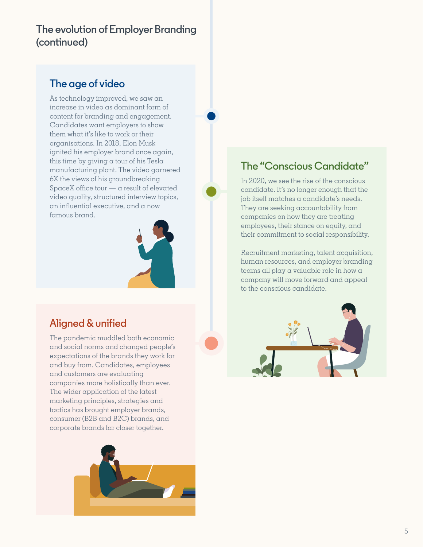#### **The evolution of Employer Branding (continued)**

#### **The age of video**

As technology improved, we saw an increase in video as dominant form of content for branding and engagement. Candidates want employers to show them what it's like to work or their organisations. In 2018, Elon Musk ignited his employer brand once again, this time by giving a tour of his Tesla manufacturing plant. The video garnered 6X the views of his groundbreaking SpaceX office tour  $-\alpha$  result of elevated video quality, structured interview topics, an influential executive, and a now famous brand.



#### **Aligned & unified**

The pandemic muddled both economic and social norms and changed people's expectations of the brands they work for and buy from. Candidates, employees and customers are evaluating companies more holistically than ever. The wider application of the latest marketing principles, strategies and tactics has brought employer brands, consumer (B2B and B2C) brands, and corporate brands far closer together.



#### **The "Conscious Candidate"**

In 2020, we see the rise of the conscious candidate. It's no longer enough that the job itself matches a candidate's needs. They are seeking accountability from companies on how they are treating employees, their stance on equity, and their commitment to social responsibility.

Recruitment marketing, talent acquisition, human resources, and employer branding teams all play a valuable role in how a company will move forward and appeal to the conscious candidate.

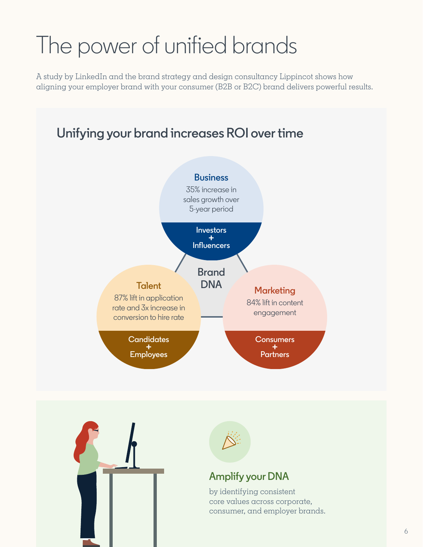## The power of unified brands

A study by LinkedIn and the brand strategy and design consultancy Lippincot shows how aligning your employer brand with your consumer (B2B or B2C) brand delivers powerful results.







#### **Amplify your DNA**

by identifying consistent core values across corporate, consumer, and employer brands.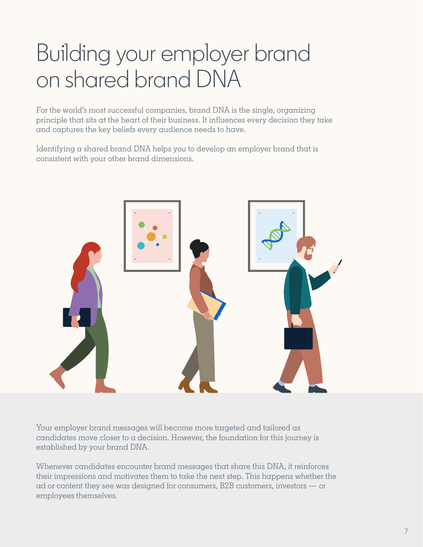## Building your employer brand on shared brand DNA

For the world's most successful companies, brand DNA is the single, organizing principle that sits at the heart of their business. It influences every decision they take and captures the key beliefs every audience needs to have.

Identifying a shared brand DNA helps you to develop an employer brand that is consistent with your other brand dimensions.



Your employer brand messages will become more targeted and tailored as candidates move closer to a decision. However, the foundation for this journey is established by your brand DNA.

Whenever candidates encounter brand messages that share this DNA, it reinforces their impressions and motivates them to take the next step. This happens whether the ad or content they see was designed for consumers, B2B customers, investors — or employees themselves.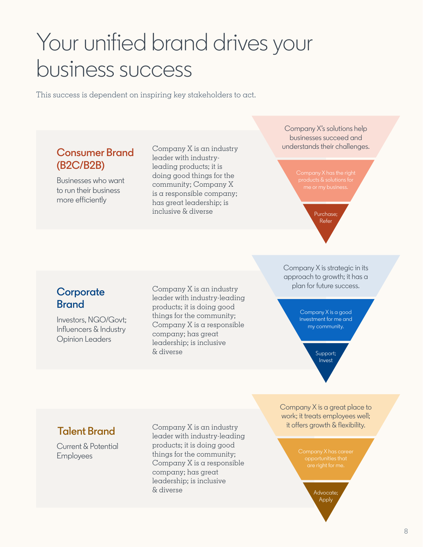### Your unified brand drives your business success

This success is dependent on inspiring key stakeholders to act.

#### **Consumer Brand (B2C/B2B)**

Businesses who want to run their business more efficiently

Company X is an industry leader with industryleading products; it is doing good things for the community; Company X is a responsible company; has great leadership; is inclusive & diverse

Company X's solutions help businesses succeed and understands their challenges.



Purchase; **Refer** 

Company X is strategic in its approach to growth; it has a plan for future success.

Company X is a good investment for me and my community.

> Support; Invest

Company X is a great place to work; it treats employees well; it offers growth & flexibility.

opportunities that

Advocate; Apply

#### **Corporate Brand**

Investors, NGO/Govt; Influencers & Industry Opinion Leaders

Company X is an industry leader with industry-leading products; it is doing good things for the community; Company X is a responsible company; has great leadership; is inclusive & diverse

**Talent Brand**

Current & Potential Employees

Company X is an industry leader with industry-leading products; it is doing good things for the community; Company X is a responsible company; has great leadership; is inclusive & diverse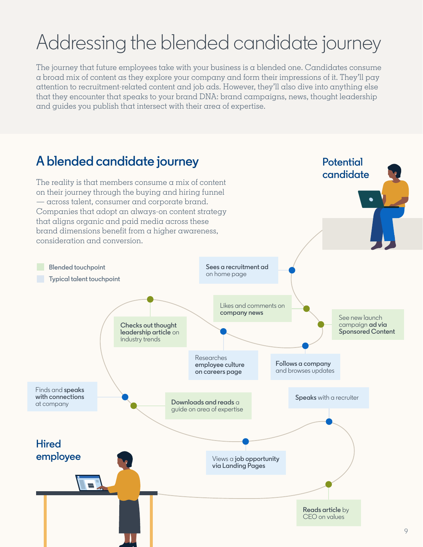### Addressing the blended candidate journey

The journey that future employees take with your business is a blended one. Candidates consume a broad mix of content as they explore your company and form their impressions of it. They'll pay attention to recruitment-related content and job ads. However, they'll also dive into anything else that they encounter that speaks to your brand DNA: brand campaigns, news, thought leadership and guides you publish that intersect with their area of expertise.

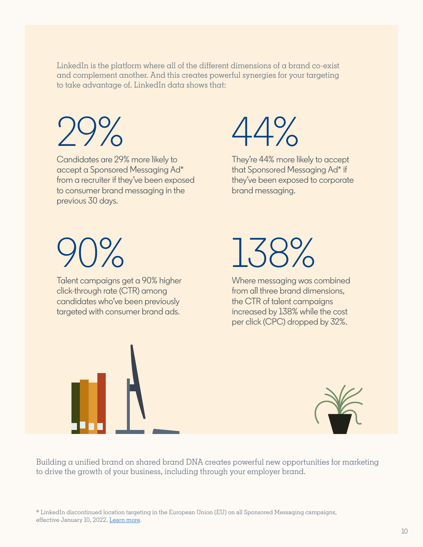LinkedIn is the platform where all of the different dimensions of  $\alpha$  brand co-exist and complement another. And this creates powerful synergies for your targeting to take advantage of. LinkedIn data shows that:

29%

Candidates are 29% more likely to accept a Sponsored Messaging Ad\* from a recruiter if they've been exposed to consumer brand messaging in the previous 30 days.



They're 44% more likely to accept that Sponsored Messaging Ad\* if they've been exposed to corporate brand messaging.

# $\bigcap_{\Omega}$

Talent campaigns get a 90% higher click-through rate (CTR) among candidates who've been previously targeted with consumer brand ads.



Where messaging was combined from all three brand dimensions, the CTR of talent campaigns increased by 138% while the cost per click (CPC) dropped by 32%.





Building a unified brand on shared brand DNA creates powerful new opportunities for marketing to drive the growth of your business, including through your employer brand.

\* LinkedIn discontinued location targeting in the European Union (EU) on all Sponsored Messaging campaigns, effective January 10, 2022. [Learn more.](https://www.linkedin.com/help/lms/answer/a544586)